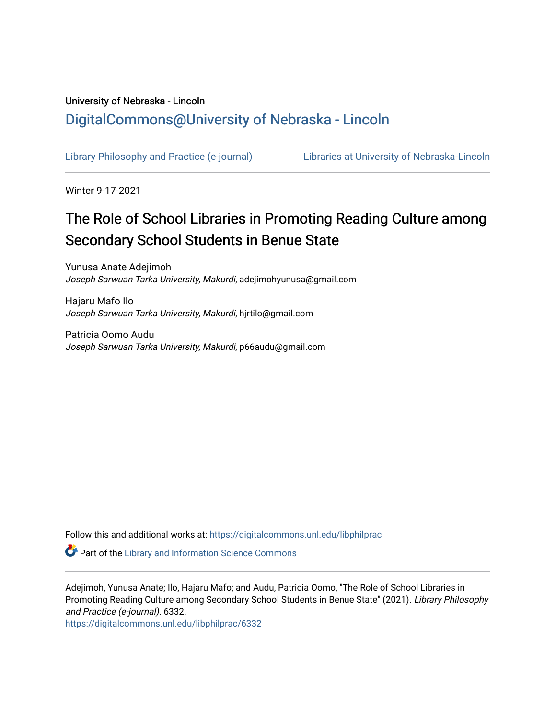# University of Nebraska - Lincoln [DigitalCommons@University of Nebraska - Lincoln](https://digitalcommons.unl.edu/)

[Library Philosophy and Practice \(e-journal\)](https://digitalcommons.unl.edu/libphilprac) [Libraries at University of Nebraska-Lincoln](https://digitalcommons.unl.edu/libraries) 

Winter 9-17-2021

# The Role of School Libraries in Promoting Reading Culture among Secondary School Students in Benue State

Yunusa Anate Adejimoh Joseph Sarwuan Tarka University, Makurdi, adejimohyunusa@gmail.com

Hajaru Mafo Ilo Joseph Sarwuan Tarka University, Makurdi, hjrtilo@gmail.com

Patricia Oomo Audu Joseph Sarwuan Tarka University, Makurdi, p66audu@gmail.com

Follow this and additional works at: [https://digitalcommons.unl.edu/libphilprac](https://digitalcommons.unl.edu/libphilprac?utm_source=digitalcommons.unl.edu%2Flibphilprac%2F6332&utm_medium=PDF&utm_campaign=PDFCoverPages) 

**P** Part of the Library and Information Science Commons

Adejimoh, Yunusa Anate; Ilo, Hajaru Mafo; and Audu, Patricia Oomo, "The Role of School Libraries in Promoting Reading Culture among Secondary School Students in Benue State" (2021). Library Philosophy and Practice (e-journal). 6332.

[https://digitalcommons.unl.edu/libphilprac/6332](https://digitalcommons.unl.edu/libphilprac/6332?utm_source=digitalcommons.unl.edu%2Flibphilprac%2F6332&utm_medium=PDF&utm_campaign=PDFCoverPages)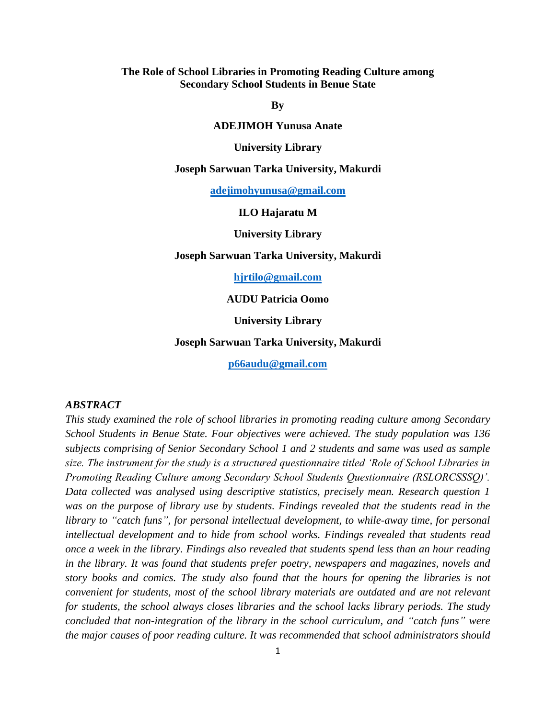# **The Role of School Libraries in Promoting Reading Culture among Secondary School Students in Benue State**

**By**

#### **ADEJIMOH Yunusa Anate**

**University Library** 

**Joseph Sarwuan Tarka University, Makurdi**

**[adejimohyunusa@gmail.com](mailto:adejimohyunusa@gmail.com)**

#### **ILO Hajaratu M**

**University Library** 

#### **Joseph Sarwuan Tarka University, Makurdi**

**[hjrtilo@gmail.com](mailto:hjrtilo@gmail.com)**

**AUDU Patricia Oomo**

**University Library** 

#### **Joseph Sarwuan Tarka University, Makurdi**

**[p66audu@gmail.com](mailto:p66audu@gmail.com)**

## *ABSTRACT*

*This study examined the role of school libraries in promoting reading culture among Secondary School Students in Benue State. Four objectives were achieved. The study population was 136 subjects comprising of Senior Secondary School 1 and 2 students and same was used as sample size. The instrument for the study is a structured questionnaire titled 'Role of School Libraries in Promoting Reading Culture among Secondary School Students Questionnaire (RSLORCSSSQ)'. Data collected was analysed using descriptive statistics, precisely mean. Research question 1*  was on the purpose of library use by students. Findings revealed that the students read in the *library to "catch funs", for personal intellectual development, to while-away time, for personal intellectual development and to hide from school works. Findings revealed that students read once a week in the library. Findings also revealed that students spend less than an hour reading in the library. It was found that students prefer poetry, newspapers and magazines, novels and story books and comics. The study also found that the hours for opening the libraries is not convenient for students, most of the school library materials are outdated and are not relevant for students, the school always closes libraries and the school lacks library periods. The study concluded that non-integration of the library in the school curriculum, and "catch funs" were the major causes of poor reading culture. It was recommended that school administrators should*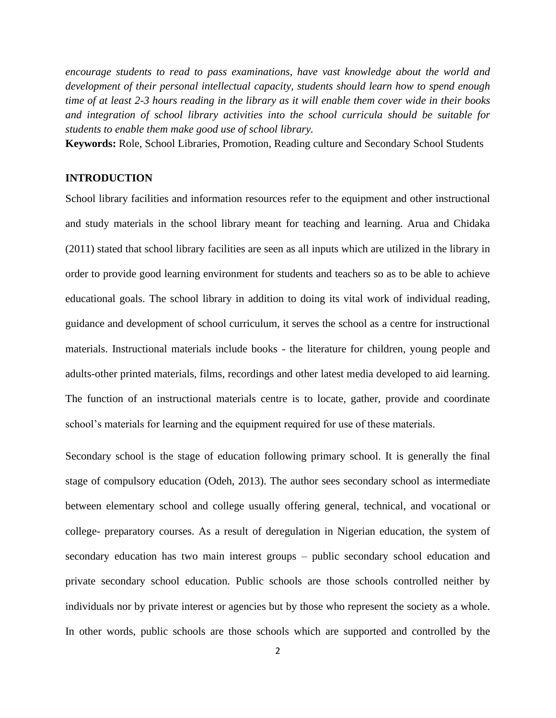*encourage students to read to pass examinations, have vast knowledge about the world and development of their personal intellectual capacity, students should learn how to spend enough time of at least 2-3 hours reading in the library as it will enable them cover wide in their books and integration of school library activities into the school curricula should be suitable for students to enable them make good use of school library.*

**Keywords:** Role, School Libraries, Promotion, Reading culture and Secondary School Students

#### **INTRODUCTION**

School library facilities and information resources refer to the equipment and other instructional and study materials in the school library meant for teaching and learning. Arua and Chidaka (2011) stated that school library facilities are seen as all inputs which are utilized in the library in order to provide good learning environment for students and teachers so as to be able to achieve educational goals. The school library in addition to doing its vital work of individual reading, guidance and development of school curriculum, it serves the school as a centre for instructional materials. Instructional materials include books - the literature for children, young people and adults-other printed materials, films, recordings and other latest media developed to aid learning. The function of an instructional materials centre is to locate, gather, provide and coordinate school's materials for learning and the equipment required for use of these materials.

Secondary school is the stage of education following primary school. It is generally the final stage of compulsory education (Odeh, 2013). The author sees secondary school as intermediate between elementary school and college usually offering general, technical, and vocational or college- preparatory courses. As a result of deregulation in Nigerian education, the system of secondary education has two main interest groups – public secondary school education and private secondary school education. Public schools are those schools controlled neither by individuals nor by private interest or agencies but by those who represent the society as a whole. In other words, public schools are those schools which are supported and controlled by the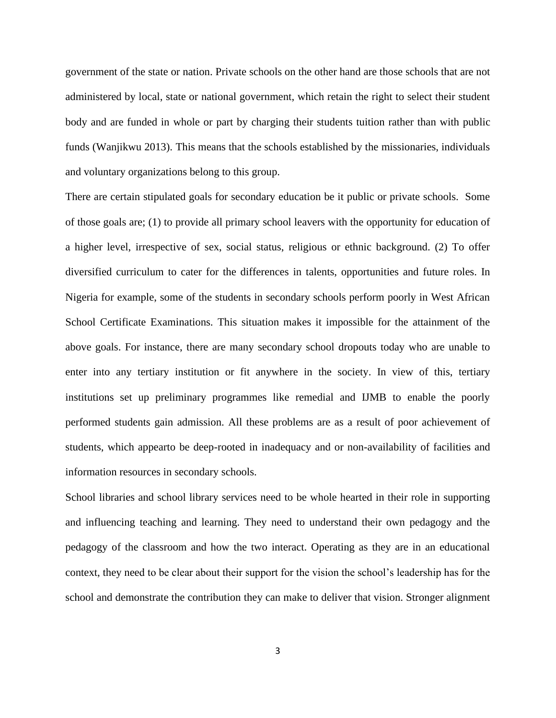government of the state or nation. Private schools on the other hand are those schools that are not administered by local, state or national government, which retain the right to select their student body and are funded in whole or part by charging their students tuition rather than with public funds (Wanjikwu 2013). This means that the schools established by the missionaries, individuals and voluntary organizations belong to this group.

There are certain stipulated goals for secondary education be it public or private schools. Some of those goals are; (1) to provide all primary school leavers with the opportunity for education of a higher level, irrespective of sex, social status, religious or ethnic background. (2) To offer diversified curriculum to cater for the differences in talents, opportunities and future roles. In Nigeria for example, some of the students in secondary schools perform poorly in West African School Certificate Examinations. This situation makes it impossible for the attainment of the above goals. For instance, there are many secondary school dropouts today who are unable to enter into any tertiary institution or fit anywhere in the society. In view of this, tertiary institutions set up preliminary programmes like remedial and IJMB to enable the poorly performed students gain admission. All these problems are as a result of poor achievement of students, which appearto be deep-rooted in inadequacy and or non-availability of facilities and information resources in secondary schools.

School libraries and school library services need to be whole hearted in their role in supporting and influencing teaching and learning. They need to understand their own pedagogy and the pedagogy of the classroom and how the two interact. Operating as they are in an educational context, they need to be clear about their support for the vision the school's leadership has for the school and demonstrate the contribution they can make to deliver that vision. Stronger alignment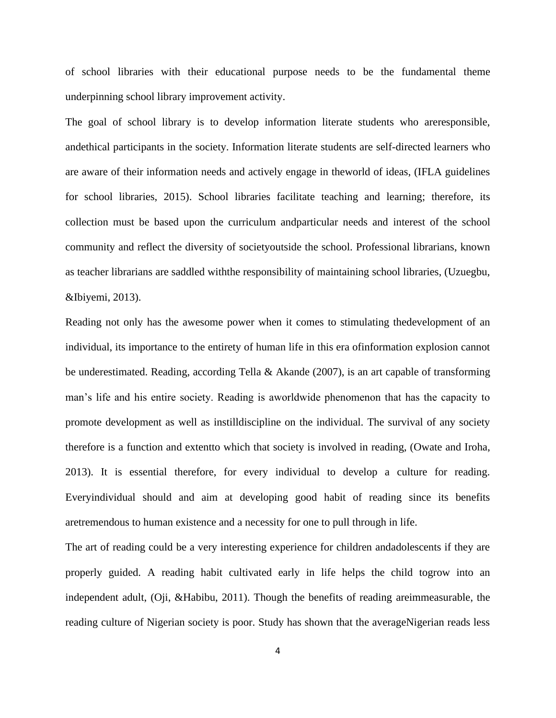of school libraries with their educational purpose needs to be the fundamental theme underpinning school library improvement activity.

The goal of school library is to develop information literate students who areresponsible, andethical participants in the society. Information literate students are self-directed learners who are aware of their information needs and actively engage in theworld of ideas, (IFLA guidelines for school libraries, 2015). School libraries facilitate teaching and learning; therefore, its collection must be based upon the curriculum andparticular needs and interest of the school community and reflect the diversity of societyoutside the school. Professional librarians, known as teacher librarians are saddled withthe responsibility of maintaining school libraries, (Uzuegbu, &Ibiyemi, 2013).

Reading not only has the awesome power when it comes to stimulating thedevelopment of an individual, its importance to the entirety of human life in this era ofinformation explosion cannot be underestimated. Reading, according Tella & Akande (2007), is an art capable of transforming man's life and his entire society. Reading is aworldwide phenomenon that has the capacity to promote development as well as instilldiscipline on the individual. The survival of any society therefore is a function and extentto which that society is involved in reading, (Owate and Iroha, 2013). It is essential therefore, for every individual to develop a culture for reading. Everyindividual should and aim at developing good habit of reading since its benefits aretremendous to human existence and a necessity for one to pull through in life.

The art of reading could be a very interesting experience for children andadolescents if they are properly guided. A reading habit cultivated early in life helps the child togrow into an independent adult, (Oji, &Habibu, 2011). Though the benefits of reading areimmeasurable, the reading culture of Nigerian society is poor. Study has shown that the averageNigerian reads less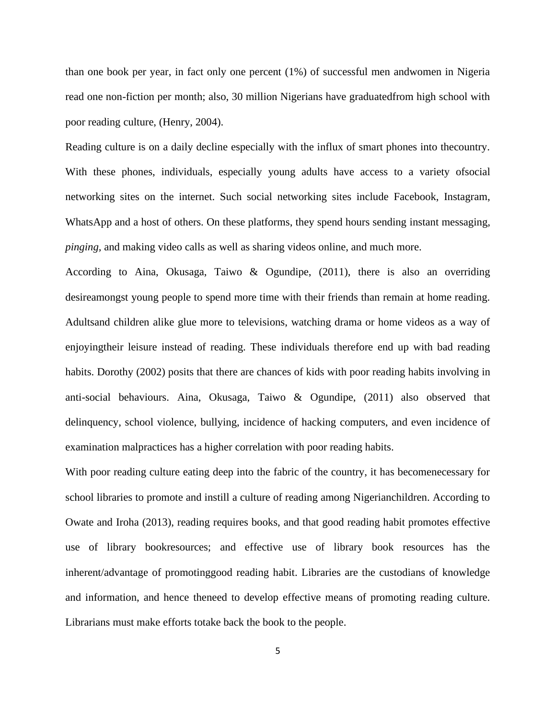than one book per year, in fact only one percent (1%) of successful men andwomen in Nigeria read one non-fiction per month; also, 30 million Nigerians have graduatedfrom high school with poor reading culture, (Henry, 2004).

Reading culture is on a daily decline especially with the influx of smart phones into thecountry. With these phones, individuals, especially young adults have access to a variety ofsocial networking sites on the internet. Such social networking sites include Facebook, Instagram, WhatsApp and a host of others. On these platforms, they spend hours sending instant messaging, *pinging,* and making video calls as well as sharing videos online, and much more.

According to Aina, Okusaga, Taiwo & Ogundipe, (2011), there is also an overriding desireamongst young people to spend more time with their friends than remain at home reading. Adultsand children alike glue more to televisions, watching drama or home videos as a way of enjoyingtheir leisure instead of reading. These individuals therefore end up with bad reading habits. Dorothy (2002) posits that there are chances of kids with poor reading habits involving in anti-social behaviours. Aina, Okusaga, Taiwo & Ogundipe, (2011) also observed that delinquency, school violence, bullying, incidence of hacking computers, and even incidence of examination malpractices has a higher correlation with poor reading habits.

With poor reading culture eating deep into the fabric of the country, it has becomenecessary for school libraries to promote and instill a culture of reading among Nigerianchildren. According to Owate and Iroha (2013), reading requires books, and that good reading habit promotes effective use of library bookresources; and effective use of library book resources has the inherent/advantage of promotinggood reading habit. Libraries are the custodians of knowledge and information, and hence theneed to develop effective means of promoting reading culture. Librarians must make efforts totake back the book to the people.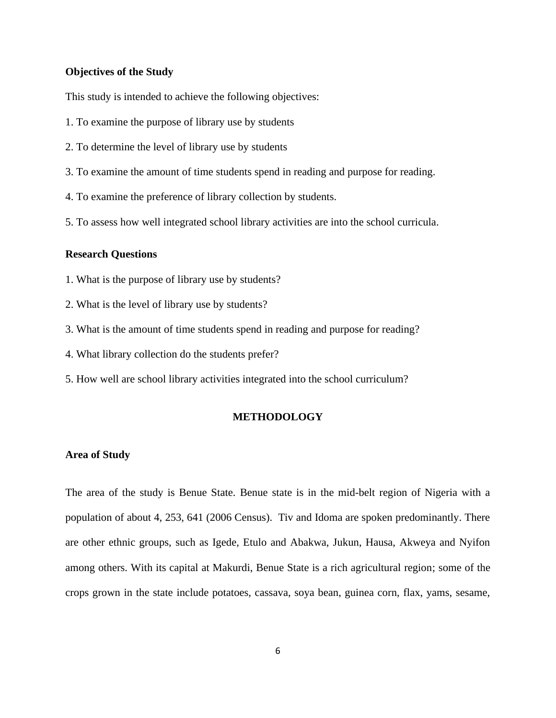# **Objectives of the Study**

This study is intended to achieve the following objectives:

- 1. To examine the purpose of library use by students
- 2. To determine the level of library use by students
- 3. To examine the amount of time students spend in reading and purpose for reading.
- 4. To examine the preference of library collection by students.
- 5. To assess how well integrated school library activities are into the school curricula.

## **Research Questions**

- 1. What is the purpose of library use by students?
- 2. What is the level of library use by students?
- 3. What is the amount of time students spend in reading and purpose for reading?
- 4. What library collection do the students prefer?
- 5. How well are school library activities integrated into the school curriculum?

#### **METHODOLOGY**

#### **Area of Study**

The area of the study is Benue State. Benue state is in the mid-belt region of Nigeria with a population of about 4, 253, 641 (2006 Census). Tiv and Idoma are spoken predominantly. There are other ethnic groups, such as Igede, Etulo and Abakwa, Jukun, Hausa, Akweya and Nyifon among others. With its capital at Makurdi, Benue State is a rich agricultural region; some of the crops grown in the state include potatoes, cassava, soya bean, guinea corn, flax, yams, sesame,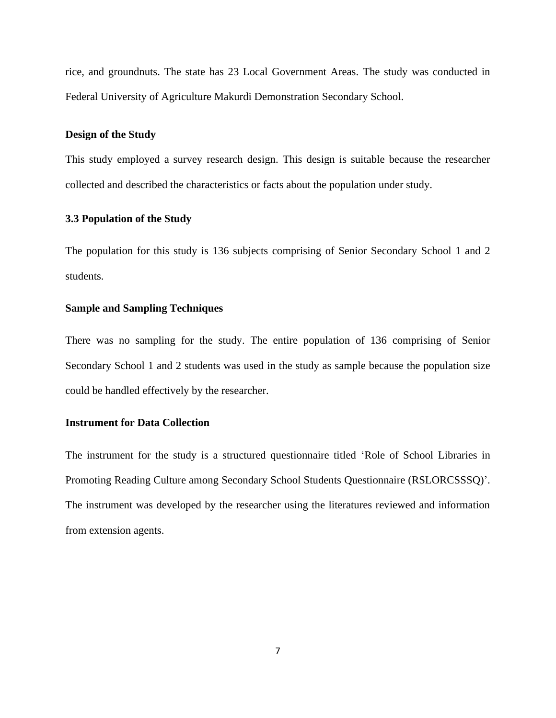rice, and groundnuts. The state has 23 Local Government Areas. The study was conducted in Federal University of Agriculture Makurdi Demonstration Secondary School.

# **Design of the Study**

This study employed a survey research design. This design is suitable because the researcher collected and described the characteristics or facts about the population under study.

# **3.3 Population of the Study**

The population for this study is 136 subjects comprising of Senior Secondary School 1 and 2 students.

# **Sample and Sampling Techniques**

There was no sampling for the study. The entire population of 136 comprising of Senior Secondary School 1 and 2 students was used in the study as sample because the population size could be handled effectively by the researcher.

#### **Instrument for Data Collection**

The instrument for the study is a structured questionnaire titled 'Role of School Libraries in Promoting Reading Culture among Secondary School Students Questionnaire (RSLORCSSSQ)'. The instrument was developed by the researcher using the literatures reviewed and information from extension agents.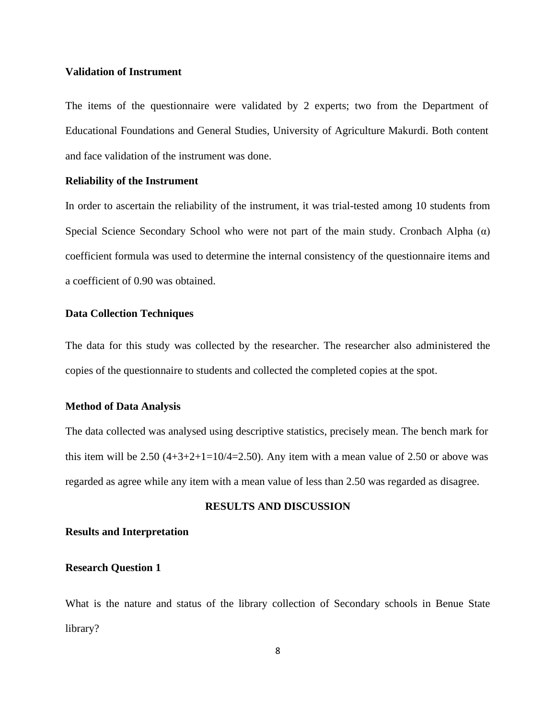#### **Validation of Instrument**

The items of the questionnaire were validated by 2 experts; two from the Department of Educational Foundations and General Studies, University of Agriculture Makurdi. Both content and face validation of the instrument was done.

#### **Reliability of the Instrument**

In order to ascertain the reliability of the instrument, it was trial-tested among 10 students from Special Science Secondary School who were not part of the main study. Cronbach Alpha  $(\alpha)$ coefficient formula was used to determine the internal consistency of the questionnaire items and a coefficient of 0.90 was obtained.

# **Data Collection Techniques**

The data for this study was collected by the researcher. The researcher also administered the copies of the questionnaire to students and collected the completed copies at the spot.

#### **Method of Data Analysis**

The data collected was analysed using descriptive statistics, precisely mean. The bench mark for this item will be 2.50  $(4+3+2+1=10/4=2.50)$ . Any item with a mean value of 2.50 or above was regarded as agree while any item with a mean value of less than 2.50 was regarded as disagree.

# **RESULTS AND DISCUSSION**

#### **Results and Interpretation**

# **Research Question 1**

What is the nature and status of the library collection of Secondary schools in Benue State library?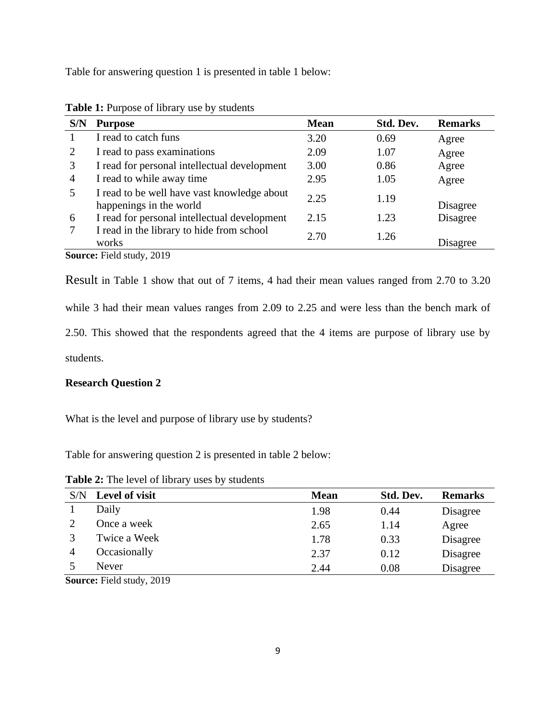Table for answering question 1 is presented in table 1 below:

| S/N                       | <b>Purpose</b>                                                         | <b>Mean</b> | Std. Dev. | <b>Remarks</b> |  |  |
|---------------------------|------------------------------------------------------------------------|-------------|-----------|----------------|--|--|
|                           | I read to catch funs                                                   | 3.20        | 0.69      | Agree          |  |  |
| 2                         | I read to pass examinations                                            | 2.09        | 1.07      | Agree          |  |  |
| 3                         | I read for personal intellectual development                           | 3.00        | 0.86      | Agree          |  |  |
| $\overline{4}$            | I read to while away time                                              | 2.95        | 1.05      | Agree          |  |  |
| 5                         | I read to be well have vast knowledge about<br>happenings in the world | 2.25        | 1.19      | Disagree       |  |  |
| 6                         | I read for personal intellectual development                           | 2.15        | 1.23      | Disagree       |  |  |
|                           | I read in the library to hide from school<br>works                     | 2.70        | 1.26      | Disagree       |  |  |
| Source: Field study, 2019 |                                                                        |             |           |                |  |  |

**Table 1:** Purpose of library use by students

Result in Table 1 show that out of 7 items, 4 had their mean values ranged from 2.70 to 3.20 while 3 had their mean values ranges from 2.09 to 2.25 and were less than the bench mark of 2.50. This showed that the respondents agreed that the 4 items are purpose of library use by students.

#### **Research Question 2**

What is the level and purpose of library use by students?

Table for answering question 2 is presented in table 2 below:

| S/N | Level of visit | <b>Mean</b> | Std. Dev. | <b>Remarks</b> |
|-----|----------------|-------------|-----------|----------------|
|     | Daily          | 1.98        | 0.44      | Disagree       |
|     | Once a week    | 2.65        | 1.14      | Agree          |
|     | Twice a Week   | 1.78        | 0.33      | Disagree       |
|     | Occasionally   | 2.37        | 0.12      | Disagree       |
|     | Never          | 2.44        | 0.08      | Disagree       |

**Table 2:** The level of library uses by students

**Source:** Field study, 2019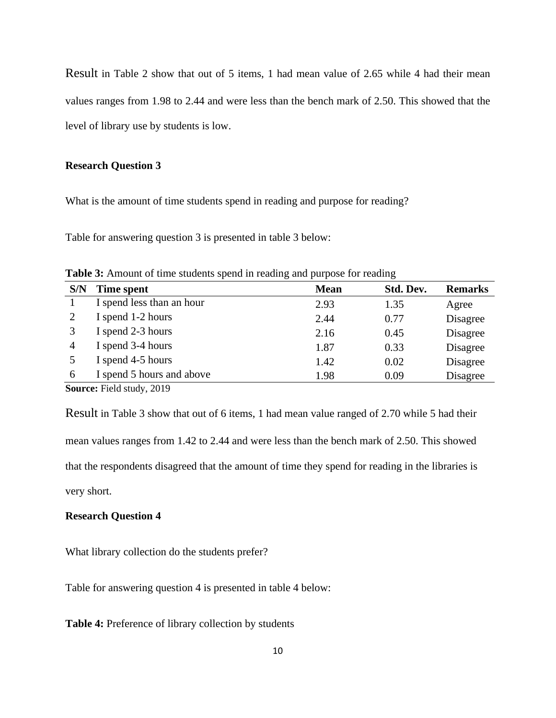Result in Table 2 show that out of 5 items, 1 had mean value of 2.65 while 4 had their mean values ranges from 1.98 to 2.44 and were less than the bench mark of 2.50. This showed that the level of library use by students is low.

# **Research Question 3**

What is the amount of time students spend in reading and purpose for reading?

Table for answering question 3 is presented in table 3 below:

| <b>Table 3:</b> Amount of time students spend in reading and purpose for reading |
|----------------------------------------------------------------------------------|
|----------------------------------------------------------------------------------|

| S/N    | Time spent                | <b>Mean</b> | Std. Dev. | <b>Remarks</b> |
|--------|---------------------------|-------------|-----------|----------------|
|        | I spend less than an hour | 2.93        | 1.35      | Agree          |
|        | I spend 1-2 hours         | 2.44        | 0.77      | Disagree       |
|        | I spend 2-3 hours         | 2.16        | 0.45      | Disagree       |
| 4      | I spend 3-4 hours         | 1.87        | 0.33      | Disagree       |
|        | I spend 4-5 hours         | 1.42        | 0.02      | Disagree       |
| 6      | I spend 5 hours and above | 1.98        | 0.09      | Disagree       |
| $\sim$ |                           |             |           |                |

**Source:** Field study, 2019

Result in Table 3 show that out of 6 items, 1 had mean value ranged of 2.70 while 5 had their mean values ranges from 1.42 to 2.44 and were less than the bench mark of 2.50. This showed that the respondents disagreed that the amount of time they spend for reading in the libraries is very short.

# **Research Question 4**

What library collection do the students prefer?

Table for answering question 4 is presented in table 4 below:

**Table 4:** Preference of library collection by students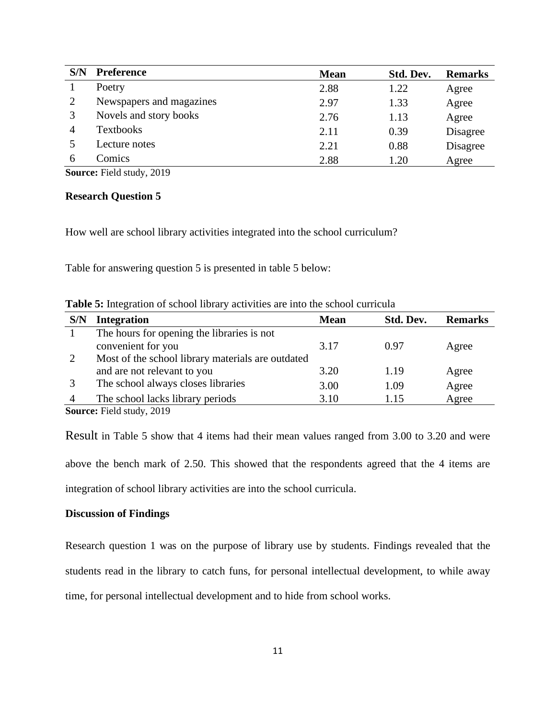| S/N | <b>Preference</b>        | <b>Mean</b> | Std. Dev. | <b>Remarks</b> |
|-----|--------------------------|-------------|-----------|----------------|
|     | Poetry                   | 2.88        | 1.22      | Agree          |
|     | Newspapers and magazines | 2.97        | 1.33      | Agree          |
|     | Novels and story books   | 2.76        | 1.13      | Agree          |
|     | <b>Textbooks</b>         | 2.11        | 0.39      | Disagree       |
|     | Lecture notes            | 2.21        | 0.88      | Disagree       |
| h   | Comics                   | 2.88        | 1.20      | Agree          |

**Source:** Field study, 2019

#### **Research Question 5**

How well are school library activities integrated into the school curriculum?

Table for answering question 5 is presented in table 5 below:

| <b>Table 5:</b> Integration of school library activities are into the school curricula |  |  |  |
|----------------------------------------------------------------------------------------|--|--|--|
|                                                                                        |  |  |  |

| S/N | <b>Integration</b>                                | <b>Mean</b> | Std. Dev. | <b>Remarks</b> |
|-----|---------------------------------------------------|-------------|-----------|----------------|
|     | The hours for opening the libraries is not        |             |           |                |
|     | convenient for you                                | 3.17        | 0.97      | Agree          |
|     | Most of the school library materials are outdated |             |           |                |
|     | and are not relevant to you                       | 3.20        | 1.19      | Agree          |
|     | The school always closes libraries                | 3.00        | 1.09      | Agree          |
|     | The school lacks library periods                  | 3.10        | 1.15      | Agree          |
|     | Source: Field study, 2019                         |             |           |                |

Result in Table 5 show that 4 items had their mean values ranged from 3.00 to 3.20 and were above the bench mark of 2.50. This showed that the respondents agreed that the 4 items are integration of school library activities are into the school curricula.

# **Discussion of Findings**

Research question 1 was on the purpose of library use by students. Findings revealed that the students read in the library to catch funs, for personal intellectual development, to while away time, for personal intellectual development and to hide from school works.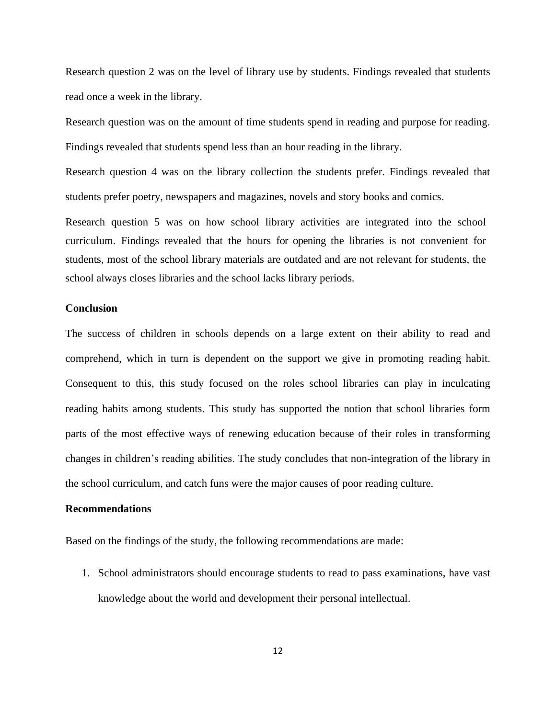Research question 2 was on the level of library use by students. Findings revealed that students read once a week in the library.

Research question was on the amount of time students spend in reading and purpose for reading. Findings revealed that students spend less than an hour reading in the library.

Research question 4 was on the library collection the students prefer. Findings revealed that students prefer poetry, newspapers and magazines, novels and story books and comics.

Research question 5 was on how school library activities are integrated into the school curriculum. Findings revealed that the hours for opening the libraries is not convenient for students, most of the school library materials are outdated and are not relevant for students, the school always closes libraries and the school lacks library periods.

### **Conclusion**

The success of children in schools depends on a large extent on their ability to read and comprehend, which in turn is dependent on the support we give in promoting reading habit. Consequent to this, this study focused on the roles school libraries can play in inculcating reading habits among students. This study has supported the notion that school libraries form parts of the most effective ways of renewing education because of their roles in transforming changes in children's reading abilities. The study concludes that non-integration of the library in the school curriculum, and catch funs were the major causes of poor reading culture.

# **Recommendations**

Based on the findings of the study, the following recommendations are made:

1. School administrators should encourage students to read to pass examinations, have vast knowledge about the world and development their personal intellectual.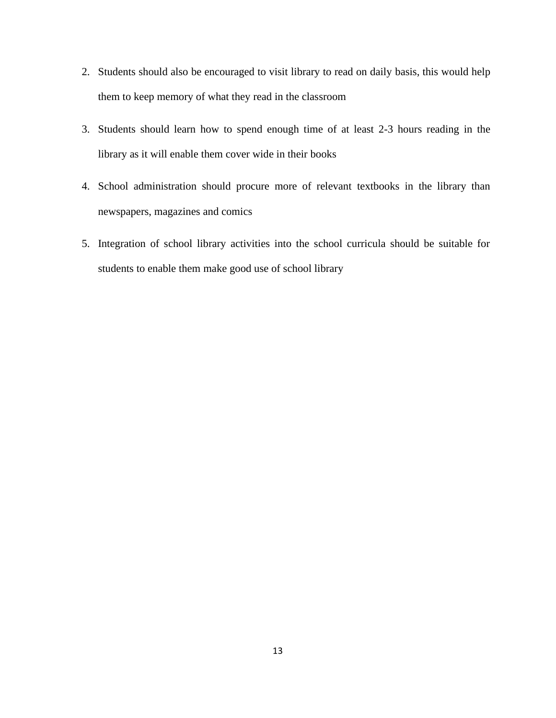- 2. Students should also be encouraged to visit library to read on daily basis, this would help them to keep memory of what they read in the classroom
- 3. Students should learn how to spend enough time of at least 2-3 hours reading in the library as it will enable them cover wide in their books
- 4. School administration should procure more of relevant textbooks in the library than newspapers, magazines and comics
- 5. Integration of school library activities into the school curricula should be suitable for students to enable them make good use of school library